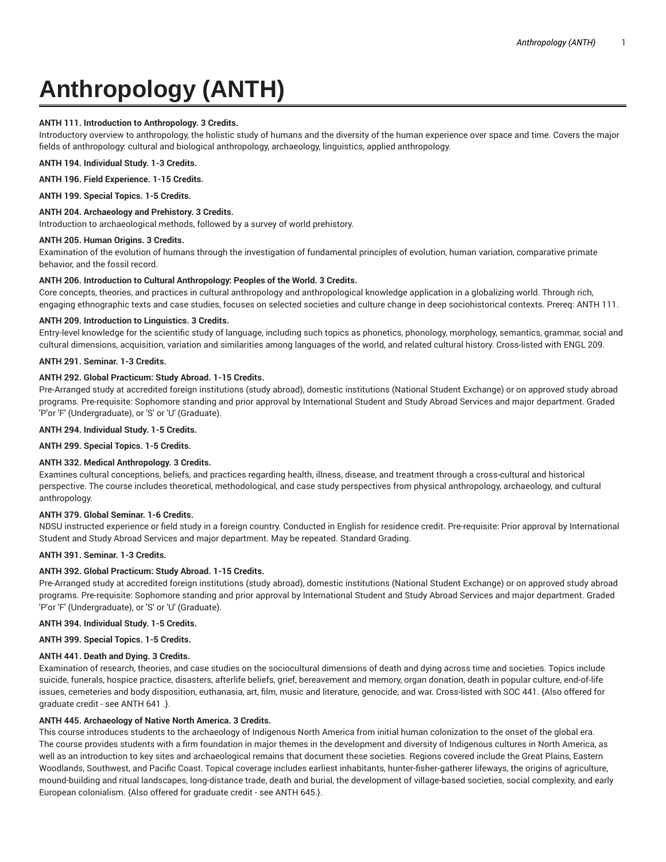# **Anthropology (ANTH)**

## **ANTH 111. Introduction to Anthropology. 3 Credits.**

Introductory overview to anthropology, the holistic study of humans and the diversity of the human experience over space and time. Covers the major fields of anthropology: cultural and biological anthropology, archaeology, linguistics, applied anthropology.

**ANTH 194. Individual Study. 1-3 Credits.**

**ANTH 196. Field Experience. 1-15 Credits.**

**ANTH 199. Special Topics. 1-5 Credits.**

#### **ANTH 204. Archaeology and Prehistory. 3 Credits.**

Introduction to archaeological methods, followed by a survey of world prehistory.

#### **ANTH 205. Human Origins. 3 Credits.**

Examination of the evolution of humans through the investigation of fundamental principles of evolution, human variation, comparative primate behavior, and the fossil record.

#### **ANTH 206. Introduction to Cultural Anthropology: Peoples of the World. 3 Credits.**

Core concepts, theories, and practices in cultural anthropology and anthropological knowledge application in a globalizing world. Through rich, engaging ethnographic texts and case studies, focuses on selected societies and culture change in deep sociohistorical contexts. Prereq: ANTH 111.

#### **ANTH 209. Introduction to Linguistics. 3 Credits.**

Entry-level knowledge for the scientific study of language, including such topics as phonetics, phonology, morphology, semantics, grammar, social and cultural dimensions, acquisition, variation and similarities among languages of the world, and related cultural history. Cross-listed with ENGL 209.

#### **ANTH 291. Seminar. 1-3 Credits.**

#### **ANTH 292. Global Practicum: Study Abroad. 1-15 Credits.**

Pre-Arranged study at accredited foreign institutions (study abroad), domestic institutions (National Student Exchange) or on approved study abroad programs. Pre-requisite: Sophomore standing and prior approval by International Student and Study Abroad Services and major department. Graded 'P'or 'F' (Undergraduate), or 'S' or 'U' (Graduate).

**ANTH 294. Individual Study. 1-5 Credits.**

**ANTH 299. Special Topics. 1-5 Credits.**

## **ANTH 332. Medical Anthropology. 3 Credits.**

Examines cultural conceptions, beliefs, and practices regarding health, illness, disease, and treatment through a cross-cultural and historical perspective. The course includes theoretical, methodological, and case study perspectives from physical anthropology, archaeology, and cultural anthropology.

## **ANTH 379. Global Seminar. 1-6 Credits.**

NDSU instructed experience or field study in a foreign country. Conducted in English for residence credit. Pre-requisite: Prior approval by International Student and Study Abroad Services and major department. May be repeated. Standard Grading.

# **ANTH 391. Seminar. 1-3 Credits.**

## **ANTH 392. Global Practicum: Study Abroad. 1-15 Credits.**

Pre-Arranged study at accredited foreign institutions (study abroad), domestic institutions (National Student Exchange) or on approved study abroad programs. Pre-requisite: Sophomore standing and prior approval by International Student and Study Abroad Services and major department. Graded 'P'or 'F' (Undergraduate), or 'S' or 'U' (Graduate).

**ANTH 394. Individual Study. 1-5 Credits.**

**ANTH 399. Special Topics. 1-5 Credits.**

## **ANTH 441. Death and Dying. 3 Credits.**

Examination of research, theories, and case studies on the sociocultural dimensions of death and dying across time and societies. Topics include suicide, funerals, hospice practice, disasters, afterlife beliefs, grief, bereavement and memory, organ donation, death in popular culture, end-of-life issues, cemeteries and body disposition, euthanasia, art, film, music and literature, genocide, and war. Cross-listed with SOC 441. {Also offered for graduate credit - see ANTH 641 .}.

## **ANTH 445. Archaeology of Native North America. 3 Credits.**

This course introduces students to the archaeology of Indigenous North America from initial human colonization to the onset of the global era. The course provides students with a firm foundation in major themes in the development and diversity of Indigenous cultures in North America, as well as an introduction to key sites and archaeological remains that document these societies. Regions covered include the Great Plains, Eastern Woodlands, Southwest, and Pacific Coast. Topical coverage includes earliest inhabitants, hunter-fisher-gatherer lifeways, the origins of agriculture, mound-building and ritual landscapes, long-distance trade, death and burial, the development of village-based societies, social complexity, and early European colonialism. {Also offered for graduate credit - see ANTH 645.}.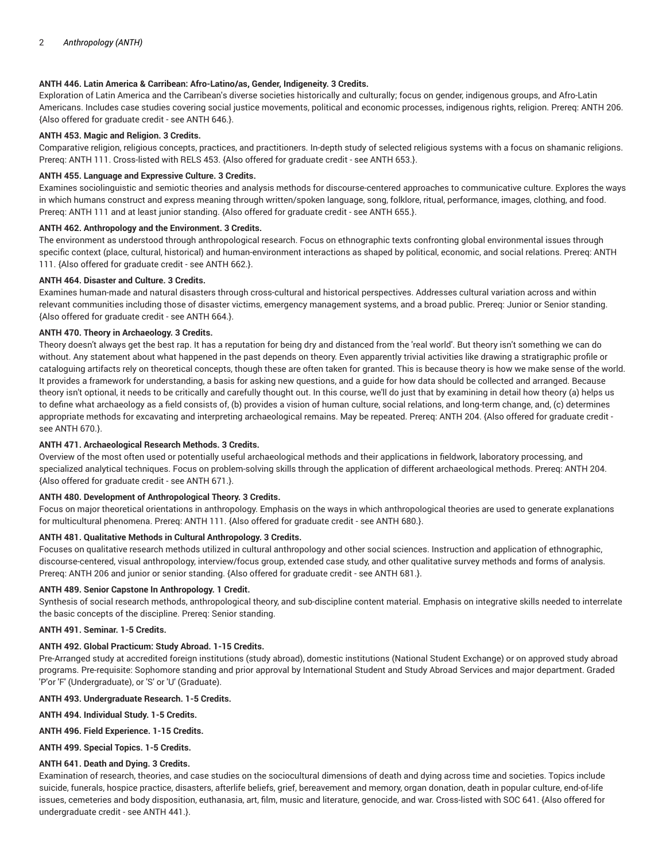## **ANTH 446. Latin America & Carribean: Afro-Latino/as, Gender, Indigeneity. 3 Credits.**

Exploration of Latin America and the Carribean's diverse societies historically and culturally; focus on gender, indigenous groups, and Afro-Latin Americans. Includes case studies covering social justice movements, political and economic processes, indigenous rights, religion. Prereq: ANTH 206. {Also offered for graduate credit - see ANTH 646.}.

## **ANTH 453. Magic and Religion. 3 Credits.**

Comparative religion, religious concepts, practices, and practitioners. In-depth study of selected religious systems with a focus on shamanic religions. Prereq: ANTH 111. Cross-listed with RELS 453. {Also offered for graduate credit - see ANTH 653.}.

## **ANTH 455. Language and Expressive Culture. 3 Credits.**

Examines sociolinguistic and semiotic theories and analysis methods for discourse-centered approaches to communicative culture. Explores the ways in which humans construct and express meaning through written/spoken language, song, folklore, ritual, performance, images, clothing, and food. Prereq: ANTH 111 and at least junior standing. {Also offered for graduate credit - see ANTH 655.}.

## **ANTH 462. Anthropology and the Environment. 3 Credits.**

The environment as understood through anthropological research. Focus on ethnographic texts confronting global environmental issues through specific context (place, cultural, historical) and human-environment interactions as shaped by political, economic, and social relations. Prereq: ANTH 111. {Also offered for graduate credit - see ANTH 662.}.

## **ANTH 464. Disaster and Culture. 3 Credits.**

Examines human-made and natural disasters through cross-cultural and historical perspectives. Addresses cultural variation across and within relevant communities including those of disaster victims, emergency management systems, and a broad public. Prereq: Junior or Senior standing. {Also offered for graduate credit - see ANTH 664.}.

## **ANTH 470. Theory in Archaeology. 3 Credits.**

Theory doesn't always get the best rap. It has a reputation for being dry and distanced from the 'real world'. But theory isn't something we can do without. Any statement about what happened in the past depends on theory. Even apparently trivial activities like drawing a stratigraphic profile or cataloguing artifacts rely on theoretical concepts, though these are often taken for granted. This is because theory is how we make sense of the world. It provides a framework for understanding, a basis for asking new questions, and a guide for how data should be collected and arranged. Because theory isn't optional, it needs to be critically and carefully thought out. In this course, we'll do just that by examining in detail how theory (a) helps us to define what archaeology as a field consists of, (b) provides a vision of human culture, social relations, and long-term change, and, (c) determines appropriate methods for excavating and interpreting archaeological remains. May be repeated. Prereq: ANTH 204. {Also offered for graduate credit see ANTH 670.}.

## **ANTH 471. Archaeological Research Methods. 3 Credits.**

Overview of the most often used or potentially useful archaeological methods and their applications in fieldwork, laboratory processing, and specialized analytical techniques. Focus on problem-solving skills through the application of different archaeological methods. Prereq: ANTH 204. {Also offered for graduate credit - see ANTH 671.}.

## **ANTH 480. Development of Anthropological Theory. 3 Credits.**

Focus on major theoretical orientations in anthropology. Emphasis on the ways in which anthropological theories are used to generate explanations for multicultural phenomena. Prereq: ANTH 111. {Also offered for graduate credit - see ANTH 680.}.

# **ANTH 481. Qualitative Methods in Cultural Anthropology. 3 Credits.**

Focuses on qualitative research methods utilized in cultural anthropology and other social sciences. Instruction and application of ethnographic, discourse-centered, visual anthropology, interview/focus group, extended case study, and other qualitative survey methods and forms of analysis. Prereq: ANTH 206 and junior or senior standing. {Also offered for graduate credit - see ANTH 681.}.

## **ANTH 489. Senior Capstone In Anthropology. 1 Credit.**

Synthesis of social research methods, anthropological theory, and sub-discipline content material. Emphasis on integrative skills needed to interrelate the basic concepts of the discipline. Prereq: Senior standing.

# **ANTH 491. Seminar. 1-5 Credits.**

# **ANTH 492. Global Practicum: Study Abroad. 1-15 Credits.**

Pre-Arranged study at accredited foreign institutions (study abroad), domestic institutions (National Student Exchange) or on approved study abroad programs. Pre-requisite: Sophomore standing and prior approval by International Student and Study Abroad Services and major department. Graded 'P'or 'F' (Undergraduate), or 'S' or 'U' (Graduate).

## **ANTH 493. Undergraduate Research. 1-5 Credits.**

**ANTH 494. Individual Study. 1-5 Credits.**

**ANTH 496. Field Experience. 1-15 Credits.**

**ANTH 499. Special Topics. 1-5 Credits.**

# **ANTH 641. Death and Dying. 3 Credits.**

Examination of research, theories, and case studies on the sociocultural dimensions of death and dying across time and societies. Topics include suicide, funerals, hospice practice, disasters, afterlife beliefs, grief, bereavement and memory, organ donation, death in popular culture, end-of-life issues, cemeteries and body disposition, euthanasia, art, film, music and literature, genocide, and war. Cross-listed with SOC 641. {Also offered for undergraduate credit - see ANTH 441.}.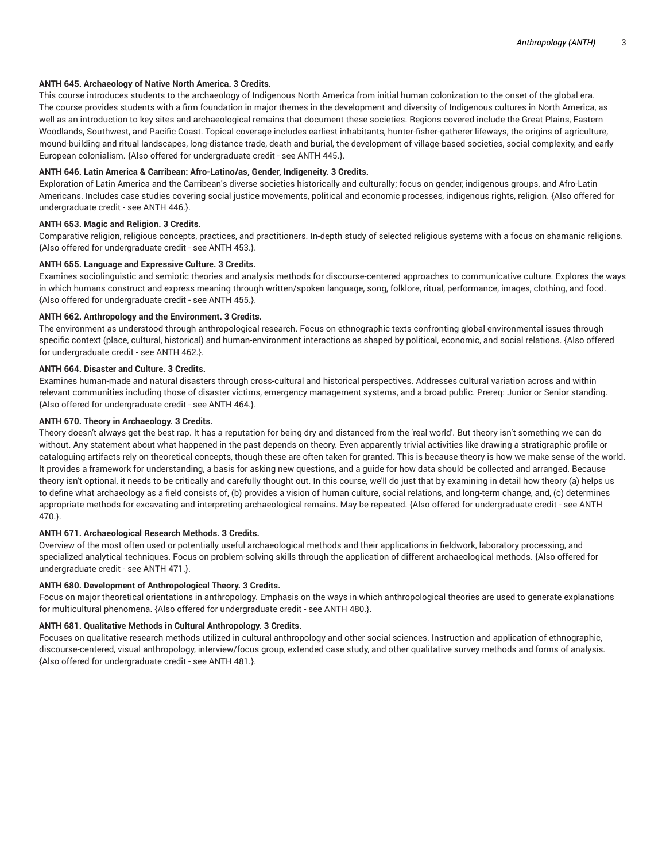## **ANTH 645. Archaeology of Native North America. 3 Credits.**

This course introduces students to the archaeology of Indigenous North America from initial human colonization to the onset of the global era. The course provides students with a firm foundation in major themes in the development and diversity of Indigenous cultures in North America, as well as an introduction to key sites and archaeological remains that document these societies. Regions covered include the Great Plains, Eastern Woodlands, Southwest, and Pacific Coast. Topical coverage includes earliest inhabitants, hunter-fisher-gatherer lifeways, the origins of agriculture, mound-building and ritual landscapes, long-distance trade, death and burial, the development of village-based societies, social complexity, and early European colonialism. {Also offered for undergraduate credit - see ANTH 445.}.

## **ANTH 646. Latin America & Carribean: Afro-Latino/as, Gender, Indigeneity. 3 Credits.**

Exploration of Latin America and the Carribean's diverse societies historically and culturally; focus on gender, indigenous groups, and Afro-Latin Americans. Includes case studies covering social justice movements, political and economic processes, indigenous rights, religion. {Also offered for undergraduate credit - see ANTH 446.}.

## **ANTH 653. Magic and Religion. 3 Credits.**

Comparative religion, religious concepts, practices, and practitioners. In-depth study of selected religious systems with a focus on shamanic religions. {Also offered for undergraduate credit - see ANTH 453.}.

## **ANTH 655. Language and Expressive Culture. 3 Credits.**

Examines sociolinguistic and semiotic theories and analysis methods for discourse-centered approaches to communicative culture. Explores the ways in which humans construct and express meaning through written/spoken language, song, folklore, ritual, performance, images, clothing, and food. {Also offered for undergraduate credit - see ANTH 455.}.

## **ANTH 662. Anthropology and the Environment. 3 Credits.**

The environment as understood through anthropological research. Focus on ethnographic texts confronting global environmental issues through specific context (place, cultural, historical) and human-environment interactions as shaped by political, economic, and social relations. {Also offered for undergraduate credit - see ANTH 462.}.

## **ANTH 664. Disaster and Culture. 3 Credits.**

Examines human-made and natural disasters through cross-cultural and historical perspectives. Addresses cultural variation across and within relevant communities including those of disaster victims, emergency management systems, and a broad public. Prereq: Junior or Senior standing. {Also offered for undergraduate credit - see ANTH 464.}.

## **ANTH 670. Theory in Archaeology. 3 Credits.**

Theory doesn't always get the best rap. It has a reputation for being dry and distanced from the 'real world'. But theory isn't something we can do without. Any statement about what happened in the past depends on theory. Even apparently trivial activities like drawing a stratigraphic profile or cataloguing artifacts rely on theoretical concepts, though these are often taken for granted. This is because theory is how we make sense of the world. It provides a framework for understanding, a basis for asking new questions, and a guide for how data should be collected and arranged. Because theory isn't optional, it needs to be critically and carefully thought out. In this course, we'll do just that by examining in detail how theory (a) helps us to define what archaeology as a field consists of, (b) provides a vision of human culture, social relations, and long-term change, and, (c) determines appropriate methods for excavating and interpreting archaeological remains. May be repeated. {Also offered for undergraduate credit - see ANTH 470.}.

## **ANTH 671. Archaeological Research Methods. 3 Credits.**

Overview of the most often used or potentially useful archaeological methods and their applications in fieldwork, laboratory processing, and specialized analytical techniques. Focus on problem-solving skills through the application of different archaeological methods. {Also offered for undergraduate credit - see ANTH 471.}.

## **ANTH 680. Development of Anthropological Theory. 3 Credits.**

Focus on major theoretical orientations in anthropology. Emphasis on the ways in which anthropological theories are used to generate explanations for multicultural phenomena. {Also offered for undergraduate credit - see ANTH 480.}.

## **ANTH 681. Qualitative Methods in Cultural Anthropology. 3 Credits.**

Focuses on qualitative research methods utilized in cultural anthropology and other social sciences. Instruction and application of ethnographic, discourse-centered, visual anthropology, interview/focus group, extended case study, and other qualitative survey methods and forms of analysis. {Also offered for undergraduate credit - see ANTH 481.}.